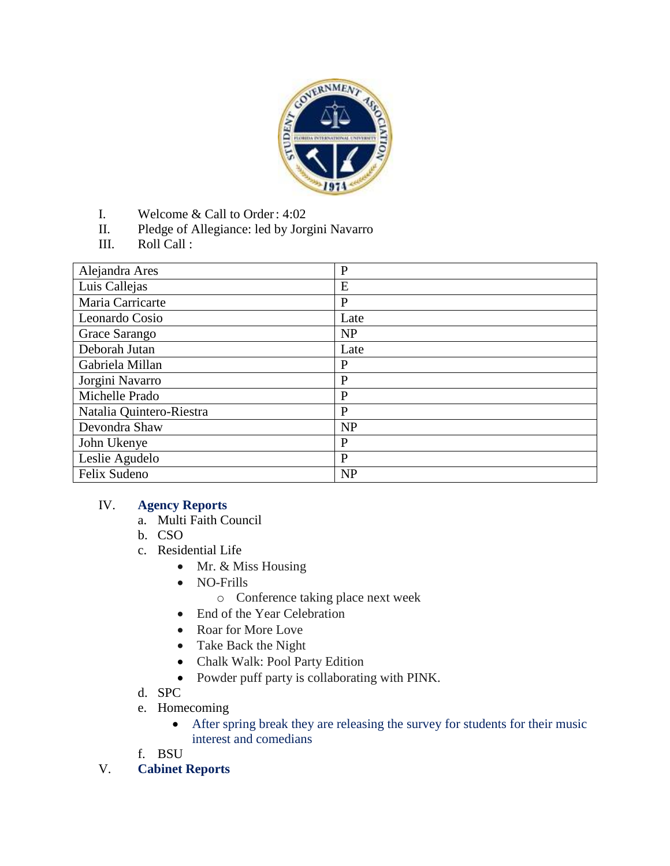

- I. Welcome & Call to Order: 4:02
- II. Pledge of Allegiance: led by Jorgini Navarro
- III. Roll Call :

| Alejandra Ares           | $\mathbf{P}$ |
|--------------------------|--------------|
| Luis Callejas            | E            |
| Maria Carricarte         | P            |
| Leonardo Cosio           | Late         |
| Grace Sarango            | <b>NP</b>    |
| Deborah Jutan            | Late         |
| Gabriela Millan          | $\mathbf{P}$ |
| Jorgini Navarro          | $\mathbf{P}$ |
| Michelle Prado           | $\mathbf{P}$ |
| Natalia Quintero-Riestra | P            |
| Devondra Shaw            | NP           |
| John Ukenye              | $\mathbf{P}$ |
| Leslie Agudelo           | P            |
| Felix Sudeno             | NP           |

## IV. **Agency Reports**

- a. Multi Faith Council
- b. CSO
- c. Residential Life
	- Mr. & Miss Housing
	- NO-Frills
		- o Conference taking place next week
	- End of the Year Celebration
	- Roar for More Love
	- Take Back the Night
	- Chalk Walk: Pool Party Edition
	- Powder puff party is collaborating with PINK.
- d. SPC
- e. Homecoming
	- After spring break they are releasing the survey for students for their music interest and comedians
- f. BSU
- V. **Cabinet Reports**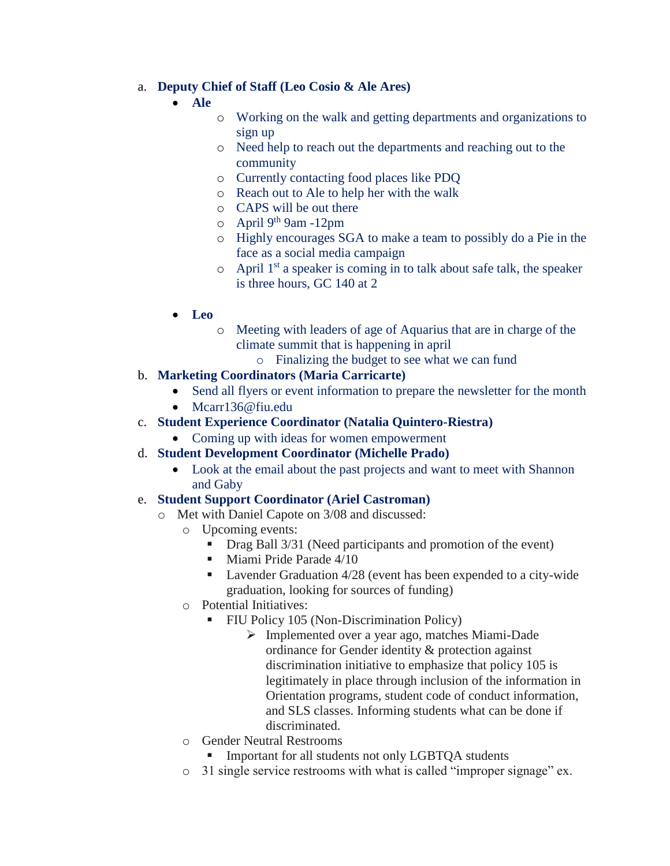## a. **Deputy Chief of Staff (Leo Cosio & Ale Ares)**

- **Ale**
	- o Working on the walk and getting departments and organizations to sign up
	- o Need help to reach out the departments and reaching out to the community
	- o Currently contacting food places like PDQ
	- o Reach out to Ale to help her with the walk
	- o CAPS will be out there
	- o April 9th 9am -12pm
	- o Highly encourages SGA to make a team to possibly do a Pie in the face as a social media campaign
	- $\circ$  April 1<sup>st</sup> a speaker is coming in to talk about safe talk, the speaker is three hours, GC 140 at 2
- **Leo**
	- o Meeting with leaders of age of Aquarius that are in charge of the climate summit that is happening in april
		- o Finalizing the budget to see what we can fund
- b. **Marketing Coordinators (Maria Carricarte)**
	- Send all flyers or event information to prepare the newsletter for the month
	- Mcarr136@fiu.edu
- c. **Student Experience Coordinator (Natalia Quintero-Riestra)**
	- Coming up with ideas for women empowerment
- d. **Student Development Coordinator (Michelle Prado)**
	- Look at the email about the past projects and want to meet with Shannon and Gaby

## e. **Student Support Coordinator (Ariel Castroman)**

- o Met with Daniel Capote on 3/08 and discussed:
	- o Upcoming events:
		- Drag Ball 3/31 (Need participants and promotion of the event)
		- **Miami Pride Parade 4/10**
		- Lavender Graduation 4/28 (event has been expended to a city-wide graduation, looking for sources of funding)
	- o Potential Initiatives:
		- **FIU Policy 105 (Non-Discrimination Policy)** 
			- Implemented over a year ago, matches Miami-Dade ordinance for Gender identity & protection against discrimination initiative to emphasize that policy 105 is legitimately in place through inclusion of the information in Orientation programs, student code of conduct information, and SLS classes. Informing students what can be done if discriminated.
	- o Gender Neutral Restrooms
		- Important for all students not only LGBTQA students
	- o 31 single service restrooms with what is called "improper signage" ex.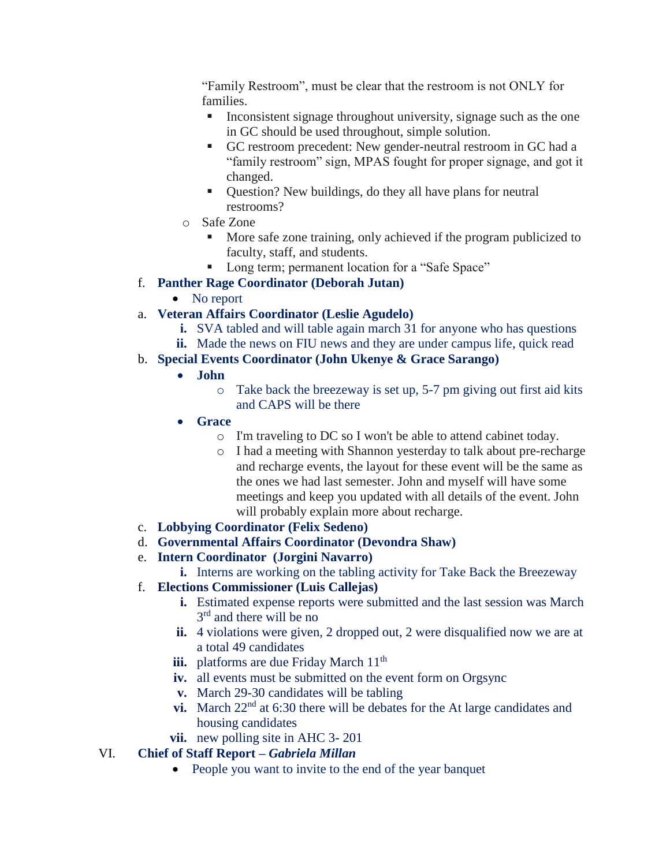"Family Restroom", must be clear that the restroom is not ONLY for families.

- Inconsistent signage throughout university, signage such as the one in GC should be used throughout, simple solution.
- GC restroom precedent: New gender-neutral restroom in GC had a "family restroom" sign, MPAS fought for proper signage, and got it changed.
- Question? New buildings, do they all have plans for neutral restrooms?
- o Safe Zone
	- More safe zone training, only achieved if the program publicized to faculty, staff, and students.
	- Long term; permanent location for a "Safe Space"
- f. **Panther Rage Coordinator (Deborah Jutan)**
	- No report
- a. **Veteran Affairs Coordinator (Leslie Agudelo)**
	- **i.** SVA tabled and will table again march 31 for anyone who has questions
	- **ii.** Made the news on FIU news and they are under campus life, quick read
- b. **Special Events Coordinator (John Ukenye & Grace Sarango)**
	- **John** 
		- o Take back the breezeway is set up, 5-7 pm giving out first aid kits and CAPS will be there
	- **Grace**
		- o I'm traveling to DC so I won't be able to attend cabinet today.
		- o I had a meeting with Shannon yesterday to talk about pre-recharge and recharge events, the layout for these event will be the same as the ones we had last semester. John and myself will have some meetings and keep you updated with all details of the event. John will probably explain more about recharge.
- c. **Lobbying Coordinator (Felix Sedeno)**
- d. **Governmental Affairs Coordinator (Devondra Shaw)**
- e. **Intern Coordinator (Jorgini Navarro)**
	- **i.** Interns are working on the tabling activity for Take Back the Breezeway
- f. **Elections Commissioner (Luis Callejas)**
	- **i.** Estimated expense reports were submitted and the last session was March 3<sup>rd</sup> and there will be no
	- **ii.** 4 violations were given, 2 dropped out, 2 were disqualified now we are at a total 49 candidates
	- **iii.** platforms are due Friday March 11<sup>th</sup>
	- **iv.** all events must be submitted on the event form on Orgsync
	- **v.** March 29-30 candidates will be tabling
	- **vi.** March  $22<sup>nd</sup>$  at 6:30 there will be debates for the At large candidates and housing candidates
	- **vii.** new polling site in AHC 3-201

## VI. **Chief of Staff Report –** *Gabriela Millan*

• People you want to invite to the end of the year banquet